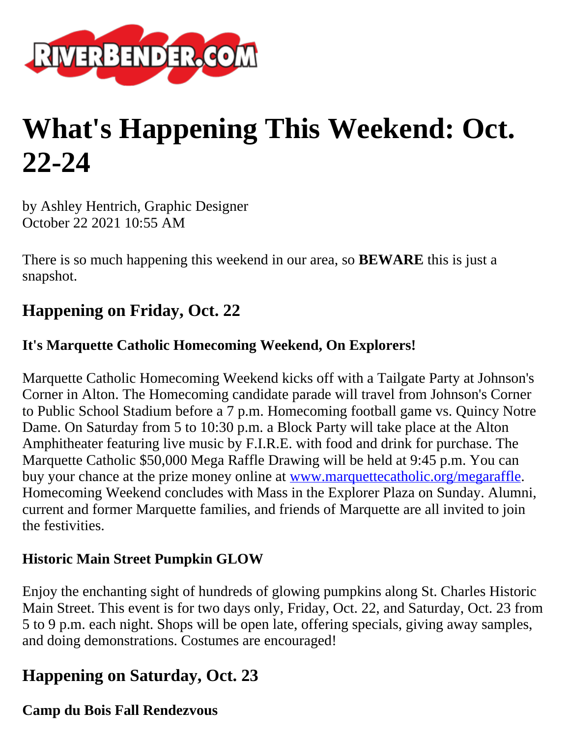

# **What's Happening This Weekend: Oct. 22-24**

by Ashley Hentrich, Graphic Designer October 22 2021 10:55 AM

There is so much happening this weekend in our area, so **BEWARE** this is just a snapshot.

# **Happening on Friday, Oct. 22**

### **It's Marquette Catholic Homecoming Weekend, On Explorers!**

Marquette Catholic Homecoming Weekend kicks off with a Tailgate Party at Johnson's Corner in Alton. The Homecoming candidate parade will travel from Johnson's Corner to Public School Stadium before a 7 p.m. Homecoming football game vs. Quincy Notre Dame. On Saturday from 5 to 10:30 p.m. a Block Party will take place at the Alton Amphitheater featuring live music by F.I.R.E. with food and drink for purchase. The Marquette Catholic \$50,000 Mega Raffle Drawing will be held at 9:45 p.m. You can buy your chance at the prize money online at [www.marquettecatholic.org/megaraffle.](http://www.marquettecatholic.org/megaraffle?fbclid=IwAR0QXMDl4OVJS_DqgbzNWNAmegT83XROmm1Mdy79g8X2glOQDoFDmCSmbQc) Homecoming Weekend concludes with Mass in the Explorer Plaza on Sunday. Alumni, current and former Marquette families, and friends of Marquette are all invited to join the festivities.

#### **Historic Main Street Pumpkin GLOW**

Enjoy the enchanting sight of hundreds of glowing pumpkins along St. Charles Historic Main Street. This event is for two days only, Friday, Oct. 22, and Saturday, Oct. 23 from 5 to 9 p.m. each night. Shops will be open late, offering specials, giving away samples, and doing demonstrations. Costumes are encouraged!

# **Happening on Saturday, Oct. 23**

#### **Camp du Bois Fall Rendezvous**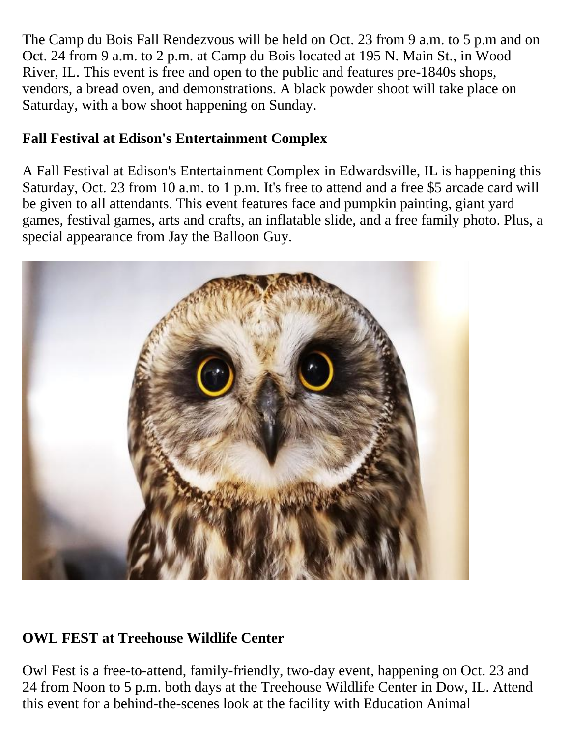The Camp du Bois Fall Rendezvous will be held on Oct. 23 from 9 a.m. to 5 p.m and on Oct. 24 from 9 a.m. to 2 p.m. at Camp du Bois located at 195 N. Main St., in Wood River, IL. This event is free and open to the public and features pre-1840s shops, vendors, a bread oven, and demonstrations. A black powder shoot will take place on Saturday, with a bow shoot happening on Sunday.

## **Fall Festival at Edison's Entertainment Complex**

A Fall Festival at Edison's Entertainment Complex in Edwardsville, IL is happening this Saturday, Oct. 23 from 10 a.m. to 1 p.m. It's free to attend and a free \$5 arcade card will be given to all attendants. This event features face and pumpkin painting, giant yard games, festival games, arts and crafts, an inflatable slide, and a free family photo. Plus, a special appearance from Jay the Balloon Guy.



## **OWL FEST at Treehouse Wildlife Center**

Owl Fest is a free-to-attend, family-friendly, two-day event, happening on Oct. 23 and 24 from Noon to 5 p.m. both days at the Treehouse Wildlife Center in Dow, IL. Attend this event for a behind-the-scenes look at the facility with Education Animal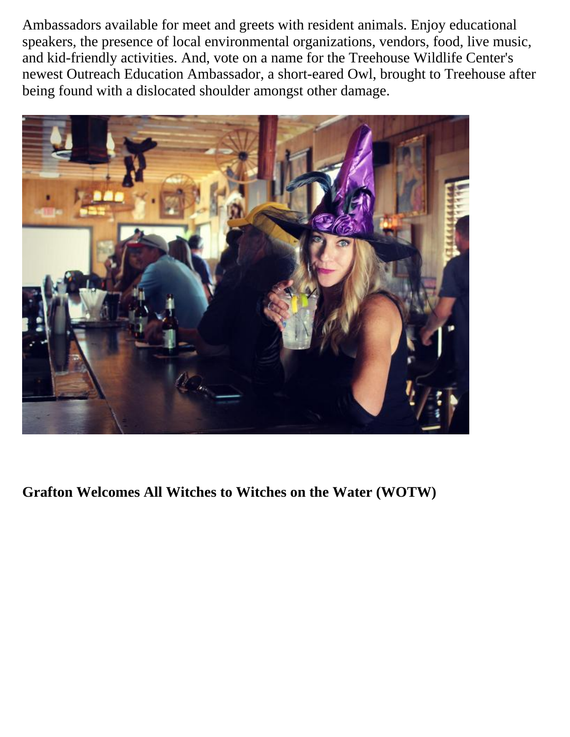Ambassadors available for meet and greets with resident animals. Enjoy educational speakers, the presence of local environmental organizations, vendors, food, live music, and kid-friendly activities. And, vote on a name for the Treehouse Wildlife Center's newest Outreach Education Ambassador, a short-eared Owl, brought to Treehouse after being found with a dislocated shoulder amongst other damage.



**Grafton Welcomes All Witches to Witches on the Water (WOTW)**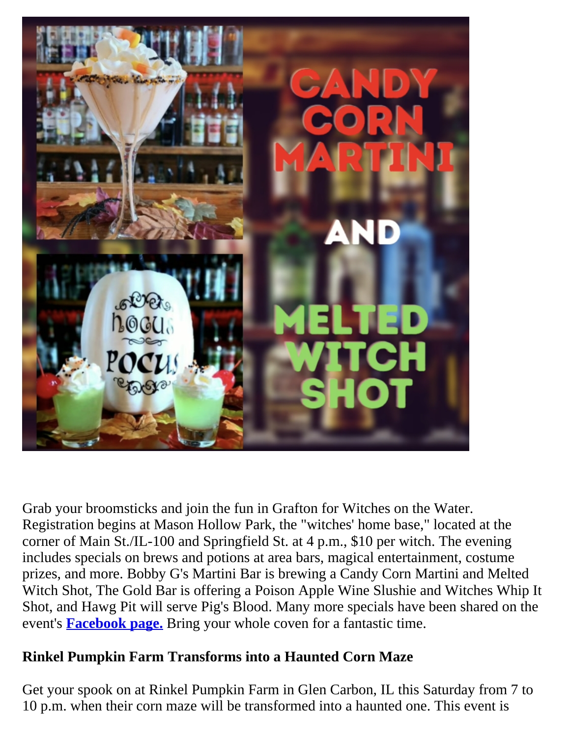

Grab your broomsticks and join the fun in Grafton for Witches on the Water. Registration begins at Mason Hollow Park, the "witches' home base," located at the corner of Main St./IL-100 and Springfield St. at 4 p.m., \$10 per witch. The evening includes specials on brews and potions at area bars, magical entertainment, costume prizes, and more. Bobby G's Martini Bar is brewing a Candy Corn Martini and Melted Witch Shot, The Gold Bar is offering a Poison Apple Wine Slushie and Witches Whip It Shot, and Hawg Pit will serve Pig's Blood. Many more specials have been shared on the event's **[Facebook page.](https://www.facebook.com/graftonwotw)** Bring your whole coven for a fantastic time.

## **Rinkel Pumpkin Farm Transforms into a Haunted Corn Maze**

Get your spook on at Rinkel Pumpkin Farm in Glen Carbon, IL this Saturday from 7 to 10 p.m. when their corn maze will be transformed into a haunted one. This event is